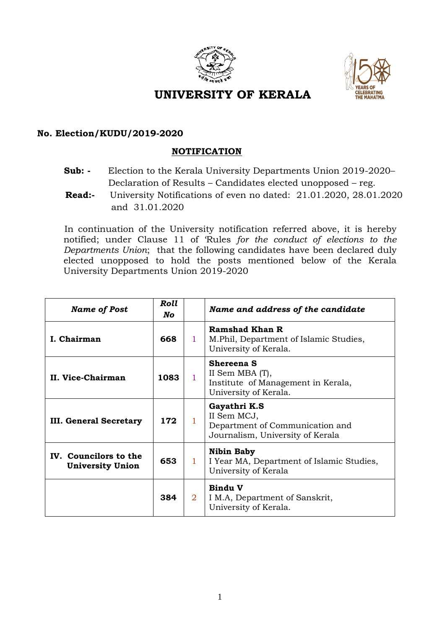



## **UNIVERSITY OF KERALA**

## **No. Election/KUDU/2019-2020**

## **NOTIFICATION**

- **Sub: -** Election to the Kerala University Departments Union 2019-2020– Declaration of Results – Candidates elected unopposed – reg.
- **Read:-** University Notifications of even no dated: 21.01.2020, 28.01.2020 and 31.01.2020

 In continuation of the University notification referred above, it is hereby notified; under Clause 11 of 'Rules *for the conduct of elections to the Departments Union*; that the following candidates have been declared duly elected unopposed to hold the posts mentioned below of the Kerala University Departments Union 2019-2020

| <b>Name of Post</b>                              | <b>Roll</b><br>No |                | Name and address of the candidate                                                                   |
|--------------------------------------------------|-------------------|----------------|-----------------------------------------------------------------------------------------------------|
| I. Chairman                                      | 668               | 1.             | <b>Ramshad Khan R</b><br>M. Phil, Department of Islamic Studies,<br>University of Kerala.           |
| II. Vice-Chairman                                | 1083              | 1              | <b>Shereena S</b><br>II Sem MBA (T),<br>Institute of Management in Kerala,<br>University of Kerala. |
| <b>III. General Secretary</b>                    | 172               |                | Gayathri K.S<br>II Sem MCJ,<br>Department of Communication and<br>Journalism, University of Kerala  |
| IV. Councilors to the<br><b>University Union</b> | 653               | 1.             | <b>Nibin Baby</b><br>I Year MA, Department of Islamic Studies,<br>University of Kerala              |
|                                                  | 384               | $\overline{2}$ | <b>Bindu V</b><br>I M.A, Department of Sanskrit,<br>University of Kerala.                           |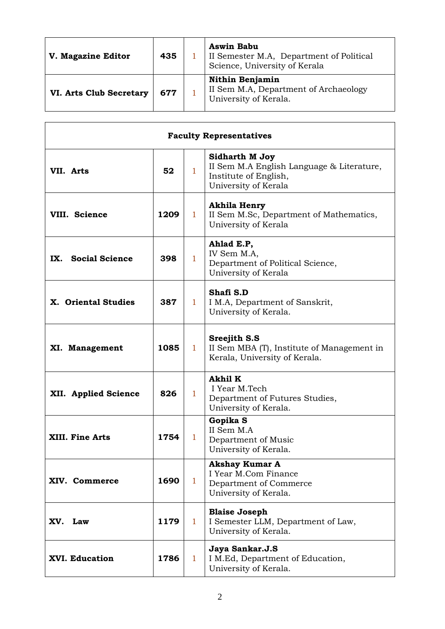| V. Magazine Editor             | 435 | <b>Aswin Babu</b><br>II Semester M.A, Department of Political<br>Science, University of Kerala |
|--------------------------------|-----|------------------------------------------------------------------------------------------------|
| <b>VI. Arts Club Secretary</b> | 677 | <b>Nithin Benjamin</b><br>II Sem M.A, Department of Archaeology<br>University of Kerala.       |

| <b>Faculty Representatives</b> |      |              |                                                                                                                     |  |  |
|--------------------------------|------|--------------|---------------------------------------------------------------------------------------------------------------------|--|--|
| VII. Arts                      | 52   | $\mathbf{1}$ | <b>Sidharth M Joy</b><br>II Sem M.A English Language & Literature,<br>Institute of English,<br>University of Kerala |  |  |
| VIII. Science                  | 1209 | $\mathbf{1}$ | Akhila Henry<br>II Sem M.Sc, Department of Mathematics,<br>University of Kerala                                     |  |  |
| IX. Social Science             | 398  | $\mathbf{1}$ | Ahlad E.P,<br>IV Sem M.A,<br>Department of Political Science,<br>University of Kerala                               |  |  |
| X. Oriental Studies            | 387  | $\mathbf{1}$ | Shafi S.D<br>I M.A, Department of Sanskrit,<br>University of Kerala.                                                |  |  |
| XI. Management                 | 1085 | $\mathbf{1}$ | <b>Sreejith S.S</b><br>II Sem MBA (T), Institute of Management in<br>Kerala, University of Kerala.                  |  |  |
| XII. Applied Science           | 826  | $\mathbf{1}$ | <b>Akhil K</b><br>I Year M.Tech<br>Department of Futures Studies,<br>University of Kerala.                          |  |  |
| <b>XIII. Fine Arts</b>         | 1754 | $\mathbf{1}$ | Gopika S<br>II Sem M.A<br>Department of Music<br>University of Kerala.                                              |  |  |
| XIV. Commerce                  | 1690 | 1            | <b>Akshay Kumar A</b><br>I Year M.Com Finance<br>Department of Commerce<br>University of Kerala.                    |  |  |
| XV. Law                        | 1179 | $\mathbf{1}$ | <b>Blaise Joseph</b><br>I Semester LLM, Department of Law,<br>University of Kerala.                                 |  |  |
| XVI. Education                 | 1786 | $\mathbf{1}$ | Jaya Sankar.J.S<br>I M.Ed, Department of Education,<br>University of Kerala.                                        |  |  |